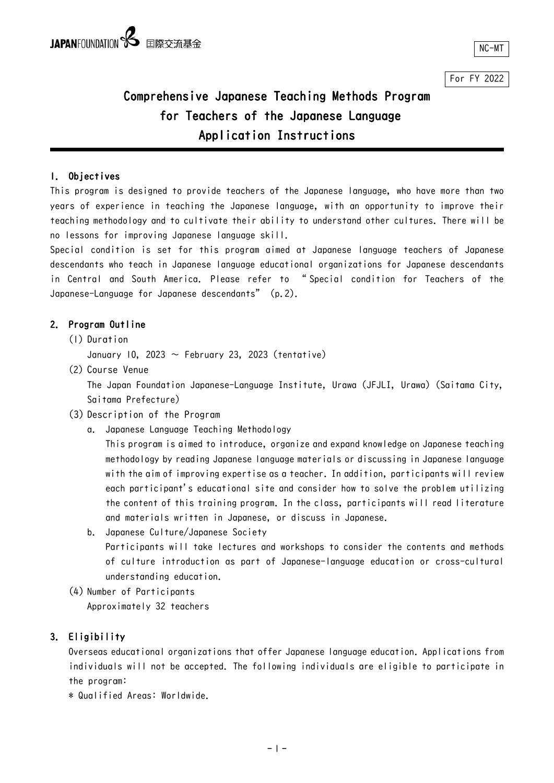For FY 2022

## Comprehensive Japanese Teaching Methods Program for Teachers of the Japanese Language Application Instructions

### 1. Objectives

This program is designed to provide teachers of the Japanese language, who have more than two years of experience in teaching the Japanese language, with an opportunity to improve their teaching methodology and to cultivate their ability to understand other cultures. There will be no lessons for improving Japanese language skill.

Special condition is set for this program aimed at Japanese language teachers of Japanese descendants who teach in Japanese language educational organizations for Japanese descendants in Central and South America. Please refer to " Special condition for Teachers of the Japanese-Language for Japanese descendants" (p.2).

### 2. Program Outline

- (1) Duration
	- January 10, 2023  $\sim$  February 23, 2023 (tentative)
- (2) Course Venue

The Japan Foundation Japanese-Language Institute, Urawa (JFJLI, Urawa) (Saitama City, Saitama Prefecture)

- (3) Description of the Program
	- a. Japanese Language Teaching Methodology

This program is aimed to introduce, organize and expand knowledge on Japanese teaching methodology by reading Japanese language materials or discussing in Japanese language with the aim of improving expertise as a teacher. In addition, participants will review each participant's educational site and consider how to solve the problem utilizing the content of this training program. In the class, participants will read literature and materials written in Japanese, or discuss in Japanese.

- b. Japanese Culture/Japanese Society Participants will take lectures and workshops to consider the contents and methods of culture introduction as part of Japanese-language education or cross-cultural understanding education.
- (4) Number of Participants Approximately 32 teachers

### 3. Eligibility

Overseas educational organizations that offer Japanese language education. Applications from individuals will not be accepted. The following individuals are eligible to participate in the program:

\* Qualified Areas: Worldwide.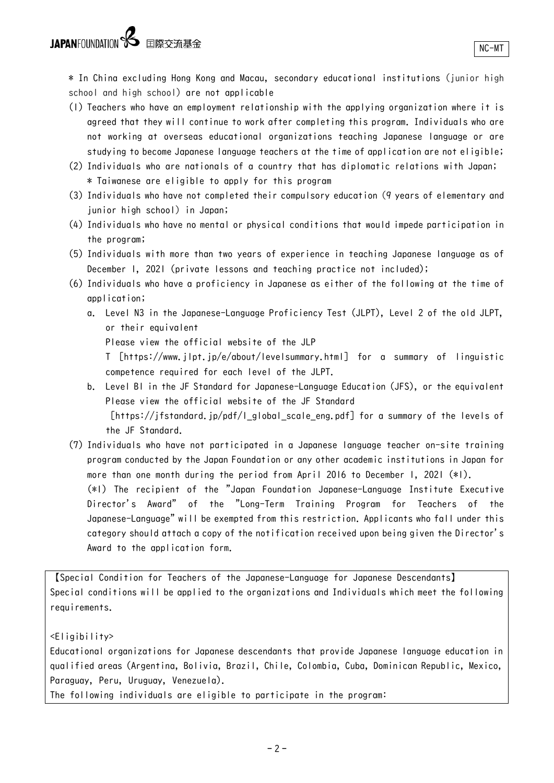- (1) Teachers who have an employment relationship with the applying organization where it is agreed that they will continue to work after completing this program. Individuals who are not working at overseas educational organizations teaching Japanese language or are studying to become Japanese language teachers at the time of application are not eligible;
- (2) Individuals who are nationals of a country that has diplomatic relations with Japan; \* Taiwanese are eligible to apply for this program
- (3) Individuals who have not completed their compulsory education (9 years of elementary and junior high school) in Japan;
- (4) Individuals who have no mental or physical conditions that would impede participation in the program;
- (5) Individuals with more than two years of experience in teaching Japanese language as of December 1, 2021 (private lessons and teaching practice not included);
- (6) Individuals who have a proficiency in Japanese as either of the following at the time of application;
	- a. Level N3 in the Japanese-Language Proficiency Test (JLPT), Level 2 of the old JLPT, or their equivalent
		- Please view the official website of the JLP

T [https://www.jlpt.jp/e/about/levelsummary.html] for a summary of linguistic competence required for each level of the JLPT.

- b. Level B1 in the JF Standard for Japanese-Language Education (JFS), or the equivalent Please view the official website of the JF Standard [https://jfstandard.jp/pdf/l global scale eng.pdf] for a summary of the levels of the JF Standard.
- (7) Individuals who have not participated in a Japanese language teacher on-site training program conducted by the Japan Foundation or any other academic institutions in Japan for more than one month during the period from April 2016 to December 1, 2021 (\*1). (\*1) The recipient of the "Japan Foundation Japanese-Language Institute Executive Director's Award" of the "Long-Term Training Program for Teachers of the Japanese-Language" will be exempted from this restriction. Applicants who fall under this category should attach a copy of the notification received upon being given the Director's Award to the application form.

【Special Condition for Teachers of the Japanese-Language for Japanese Descendants】 Special conditions will be applied to the organizations and Individuals which meet the following requirements.

<Eligibility>

Educational organizations for Japanese descendants that provide Japanese language education in qualified areas (Argentina, Bolivia, Brazil, Chile, Colombia, Cuba, Dominican Republic, Mexico, Paraguay, Peru, Uruguay, Venezuela).

The following individuals are eligible to participate in the program: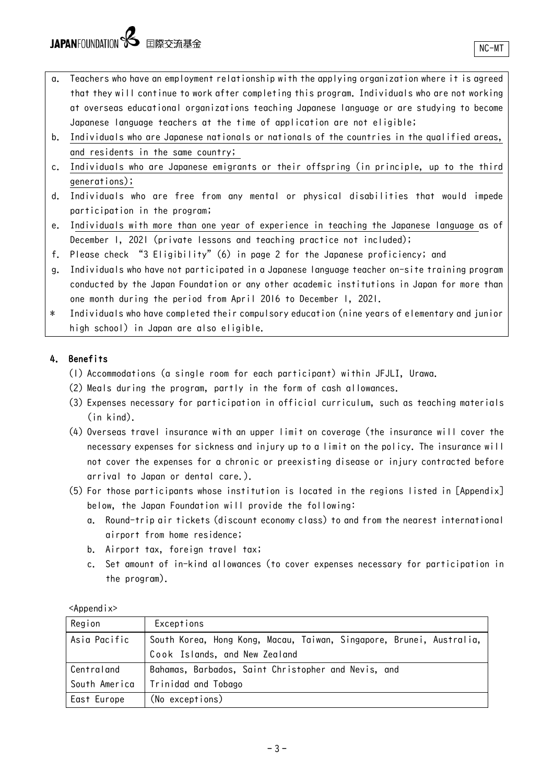JAPANFOUNDATION Se 国際交流基金

- a. Teachers who have an employment relationship with the applying organization where it is agreed that they will continue to work after completing this program. Individuals who are not working at overseas educational organizations teaching Japanese language or are studying to become Japanese language teachers at the time of application are not eligible;
- b. Individuals who are Japanese nationals or nationals of the countries in the qualified areas, and residents in the same country;
- c. Individuals who are Japanese emigrants or their offspring (in principle, up to the third generations);
- d. Individuals who are free from any mental or physical disabilities that would impede participation in the program;
- e. Individuals with more than one year of experience in teaching the Japanese language as of December 1, 2021 (private lessons and teaching practice not included);
- f. Please check "3 Eligibility"(6) in page 2 for the Japanese proficiency; and
- g. Individuals who have not participated in a Japanese language teacher on-site training program conducted by the Japan Foundation or any other academic institutions in Japan for more than one month during the period from April 2016 to December 1, 2021.
- \* Individuals who have completed their compulsory education (nine years of elementary and junior high school) in Japan are also eligible.

### 4. Benefits

- (1) Accommodations (a single room for each participant) within JFJLI, Urawa.
- (2) Meals during the program, partly in the form of cash allowances.
- (3) Expenses necessary for participation in official curriculum, such as teaching materials (in kind).
- (4) Overseas travel insurance with an upper limit on coverage (the insurance will cover the necessary expenses for sickness and injury up to a limit on the policy. The insurance will not cover the expenses for a chronic or preexisting disease or injury contracted before arrival to Japan or dental care.).
- (5) For those participants whose institution is located in the regions listed in [Appendix] below, the Japan Foundation will provide the following:
	- a. Round-trip air tickets (discount economy class) to and from the nearest international airport from home residence;
	- b. Airport tax, foreign travel tax;
	- c. Set amount of in-kind allowances (to cover expenses necessary for participation in the program).

| Region        | Exceptions                                                           |
|---------------|----------------------------------------------------------------------|
| Asia Pacific  | South Korea, Hong Kong, Macau, Taiwan, Singapore, Brunei, Australia, |
|               | Cook Islands, and New Zealand                                        |
| Centraland    | Bahamas, Barbados, Saint Christopher and Nevis, and                  |
| South America | Trinidad and Tobago                                                  |
| East Europe   | (No exceptions)                                                      |

<Appendix>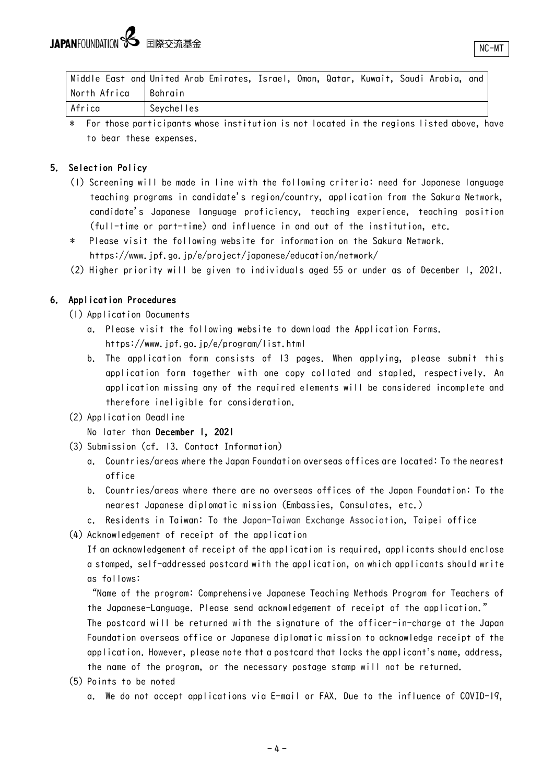|              | Middle East and United Arab Emirates, Israel, Oman, Qatar, Kuwait, Saudi Arabia, and |
|--------------|--------------------------------------------------------------------------------------|
| North Africa | l Bahrain                                                                            |
| Africa       | Seychelles                                                                           |

For those participants whose institution is not located in the regions listed above, have to bear these expenses.

### 5. Selection Policy

- (1) Screening will be made in line with the following criteria: need for Japanese language teaching programs in candidate's region/country, application from the Sakura Network, candidate's Japanese language proficiency, teaching experience, teaching position (full-time or part-time) and influence in and out of the institution, etc.
- \* Please visit the following website for information on the Sakura Network. https://www.jpf.go.jp/e/project/japanese/education/network/
- (2) Higher priority will be given to individuals aged 55 or under as of December 1, 2021.

### 6. Application Procedures

- (1) Application Documents
	- a. Please visit the following website to download the Application Forms. https://www.jpf.go.jp/e/program/list.html
	- b. The application form consists of 13 pages. When applying, please submit this application form together with one copy collated and stapled, respectively. An application missing any of the required elements will be considered incomplete and therefore ineligible for consideration.

### (2) Application Deadline

### No later than December 1, 2021

- (3) Submission (cf. 13. Contact Information)
	- a. Countries/areas where the Japan Foundation overseas offices are located: To the nearest office
	- b. Countries/areas where there are no overseas offices of the Japan Foundation: To the nearest Japanese diplomatic mission (Embassies, Consulates, etc.)
	- c. Residents in Taiwan: To the Japan-Taiwan Exchange Association, Taipei office
- (4) Acknowledgement of receipt of the application

If an acknowledgement of receipt of the application is required, applicants should enclose a stamped, self-addressed postcard with the application, on which applicants should write as follows:

"Name of the program: Comprehensive Japanese Teaching Methods Program for Teachers of the Japanese-Language. Please send acknowledgement of receipt of the application."

The postcard will be returned with the signature of the officer-in-charge at the Japan Foundation overseas office or Japanese diplomatic mission to acknowledge receipt of the application. However, please note that a postcard that lacks the applicant's name, address, the name of the program, or the necessary postage stamp will not be returned.

- (5) Points to be noted
	- a. We do not accept applications via E-mail or FAX. Due to the influence of COVID-19,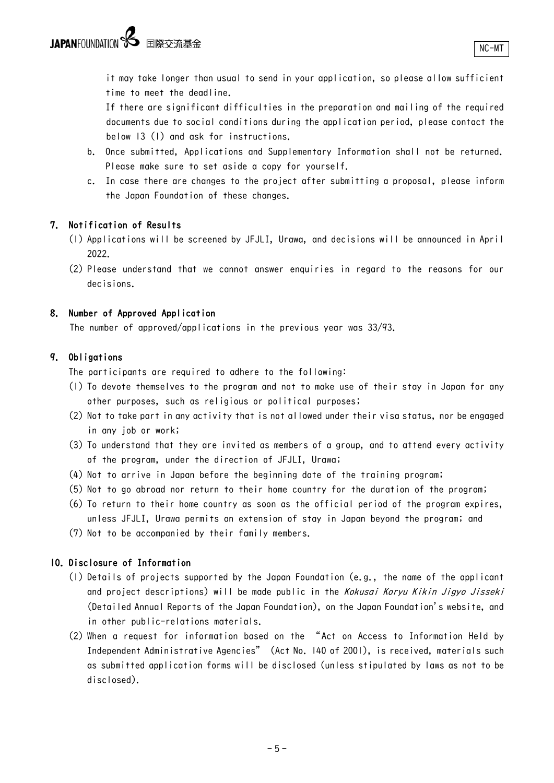it may take longer than usual to send in your application, so please allow sufficient time to meet the deadline.

If there are significant difficulties in the preparation and mailing of the required documents due to social conditions during the application period, please contact the below 13 (1) and ask for instructions.

- b. Once submitted, Applications and Supplementary Information shall not be returned. Please make sure to set aside a copy for yourself.
- c. In case there are changes to the project after submitting a proposal, please inform the Japan Foundation of these changes.

### 7. Notification of Results

- (1) Applications will be screened by JFJLI, Urawa, and decisions will be announced in April 2022.
- (2) Please understand that we cannot answer enquiries in regard to the reasons for our decisions.

#### 8. Number of Approved Application

The number of approved/applications in the previous year was 33/93.

### 9. Obligations

The participants are required to adhere to the following:

- (1) To devote themselves to the program and not to make use of their stay in Japan for any other purposes, such as religious or political purposes;
- (2) Not to take part in any activity that is not allowed under their visa status, nor be engaged in any job or work;
- (3) To understand that they are invited as members of a group, and to attend every activity of the program, under the direction of JFJLI, Urawa;
- (4) Not to arrive in Japan before the beginning date of the training program;
- (5) Not to go abroad nor return to their home country for the duration of the program;
- (6) To return to their home country as soon as the official period of the program expires, unless JFJLI, Urawa permits an extension of stay in Japan beyond the program; and
- (7) Not to be accompanied by their family members.

### 10. Disclosure of Information

- (1) Details of projects supported by the Japan Foundation (e.g., the name of the applicant and project descriptions) will be made public in the Kokusai Koryu Kikin Jigyo Jisseki (Detailed Annual Reports of the Japan Foundation), on the Japan Foundation's website, and in other public-relations materials.
- (2) When a request for information based on the "Act on Access to Information Held by Independent Administrative Agencies" (Act No. 140 of 2001), is received, materials such as submitted application forms will be disclosed (unless stipulated by laws as not to be disclosed).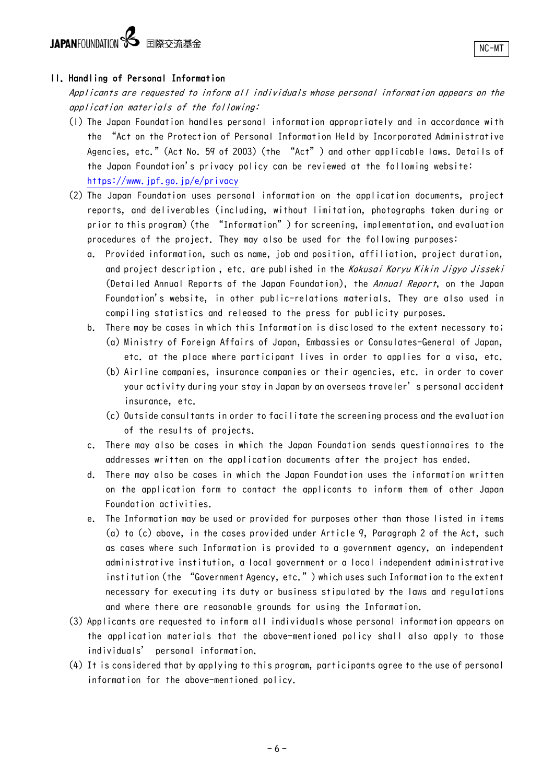# JAPANFOUNDATION **S** 国際交流基金

### 11. Handling of Personal Information

Applicants are requested to inform all individuals whose personal information appears on the application materials of the following:

- (1) The Japan Foundation handles personal information appropriately and in accordance with the "Act on the Protection of Personal Information Held by Incorporated Administrative Agencies, etc." (Act No. 59 of 2003) (the "Act") and other applicable laws. Details of the Japan Foundation's privacy policy can be reviewed at the following website: <https://www.jpf.go.jp/e/privacy>
- (2) The Japan Foundation uses personal information on the application documents, project reports, and deliverables (including, without limitation, photographs taken during or prior to this program) (the "Information") for screening, implementation, and evaluation procedures of the project. They may also be used for the following purposes:
	- a. Provided information, such as name, job and position, affiliation, project duration, and project description, etc. are published in the Kokusai Koryu Kikin Jigyo Jisseki (Detailed Annual Reports of the Japan Foundation), the Annual Report, on the Japan Foundation's website, in other public-relations materials. They are also used in compiling statistics and released to the press for publicity purposes.
	- b. There may be cases in which this Information is disclosed to the extent necessary to; (a) Ministry of Foreign Affairs of Japan, Embassies or Consulates-General of Japan, etc. at the place where participant lives in order to applies for a visa, etc.
		- (b) Airline companies, insurance companies or their agencies, etc. in order to cover your activity during your stay in Japan by an overseas traveler's personal accident insurance, etc.
		- (c) Outside consultants in order to facilitate the screening process and the evaluation of the results of projects.
	- c. There may also be cases in which the Japan Foundation sends questionnaires to the addresses written on the application documents after the project has ended.
	- d. There may also be cases in which the Japan Foundation uses the information written on the application form to contact the applicants to inform them of other Japan Foundation activities.
	- e. The Information may be used or provided for purposes other than those listed in items (a) to (c) above, in the cases provided under Article 9, Paragraph 2 of the Act, such as cases where such Information is provided to a government agency, an independent administrative institution, a local government or a local independent administrative institution (the "Government Agency, etc.") which uses such Information to the extent necessary for executing its duty or business stipulated by the laws and regulations and where there are reasonable grounds for using the Information.
- (3) Applicants are requested to inform all individuals whose personal information appears on the application materials that the above-mentioned policy shall also apply to those individuals' personal information.
- (4) It is considered that by applying to this program, participants agree to the use of personal information for the above-mentioned policy.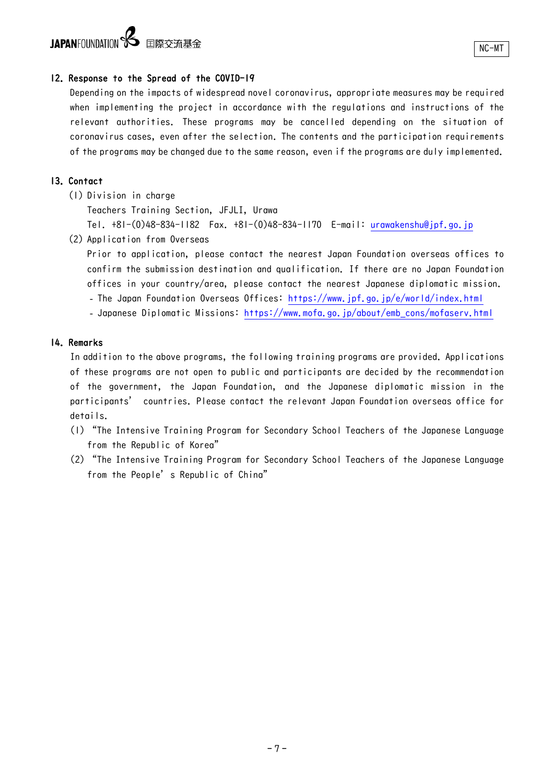## JAPANFOUNDATION **S** 国際交流基金

### 12. Response to the Spread of the COVID-19

Depending on the impacts of widespread novel coronavirus, appropriate measures may be required when implementing the project in accordance with the regulations and instructions of the relevant authorities. These programs may be cancelled depending on the situation of coronavirus cases, even after the selection. The contents and the participation requirements of the programs may be changed due to the same reason, even if the programs are duly implemented.

### 13. Contact

(1) Division in charge

Teachers Training Section, JFJLI, Urawa

Tel. +81-(0)48-834-1182 Fax. +81-(0)48-834-1170 E-mail: [urawakenshu@jpf.go.jp](mailto:urawakenshu@jpf.go.jp) 

(2) Application from Overseas

Prior to application, please contact the nearest Japan Foundation overseas offices to confirm the submission destination and qualification. If there are no Japan Foundation offices in your country/area, please contact the nearest Japanese diplomatic mission.

- The Japan Foundation Overseas Offices:<https://www.jpf.go.jp/e/world/index.html>
- Japanese Diplomatic Missions: [https://www.mofa.go.jp/about/emb\\_cons/mofaserv.html](http://www.mofa.go.jp/about/emb_cons/mofaserv.html)

### 14. Remarks

In addition to the above programs, the following training programs are provided. Applications of these programs are not open to public and participants are decided by the recommendation of the government, the Japan Foundation, and the Japanese diplomatic mission in the participants' countries. Please contact the relevant Japan Foundation overseas office for details.

- (1) "The Intensive Training Program for Secondary School Teachers of the Japanese Language from the Republic of Korea"
- (2) "The Intensive Training Program for Secondary School Teachers of the Japanese Language from the People's Republic of China"

‐7‐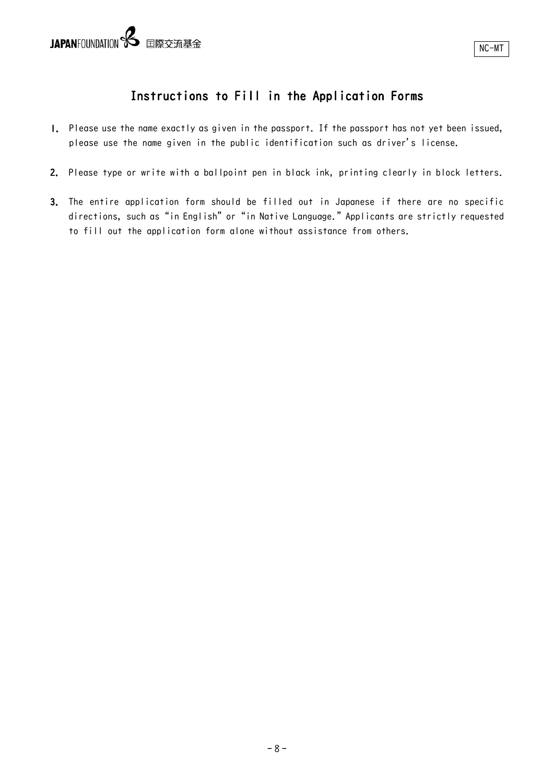## Instructions to Fill in the Application Forms

- 1. Please use the name exactly as given in the passport. If the passport has not yet been issued, please use the name given in the public identification such as driver's license.
- 2. Please type or write with a ballpoint pen in black ink, printing clearly in block letters.
- 3. The entire application form should be filled out in Japanese if there are no specific directions, such as "in English" or "in Native Language." Applicants are strictly requested to fill out the application form alone without assistance from others.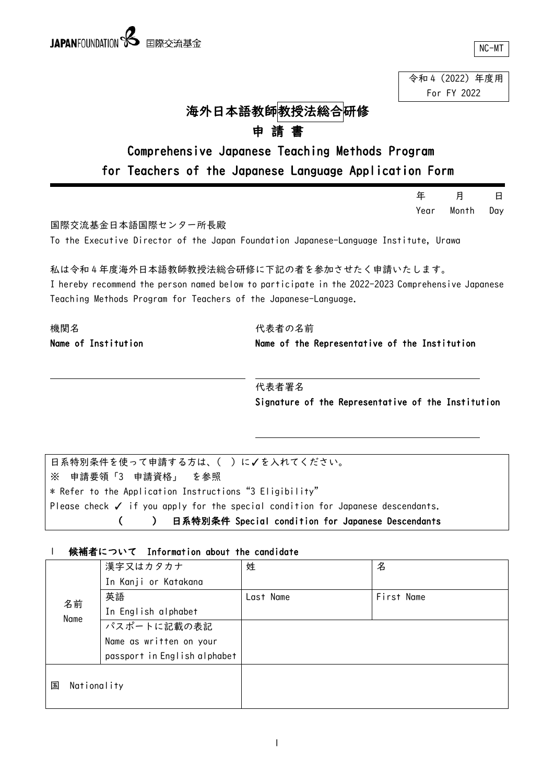令和 4(2022)年度用 For FY 2022

## 海外日本語教師教授法総合研修

## 申 請 書

## Comprehensive Japanese Teaching Methods Program for Teachers of the Japanese Language Application Form

|                                                                                                                                                                                                                  |                                                    | 年    | 月     | В   |
|------------------------------------------------------------------------------------------------------------------------------------------------------------------------------------------------------------------|----------------------------------------------------|------|-------|-----|
|                                                                                                                                                                                                                  |                                                    | Year | Month | Day |
| 国際交流基金日本語国際センター所長殿                                                                                                                                                                                               |                                                    |      |       |     |
| To the Executive Director of the Japan Foundation Japanese-Language Institute, Urawa                                                                                                                             |                                                    |      |       |     |
| 私は令和4年度海外日本語教師教授法総合研修に下記の者を参加させたく申請いたします。<br>I hereby recommend the person named below to participate in the 2022-2023 Comprehensive Japanese<br>Teaching Methods Program for Teachers of the Japanese-Language. |                                                    |      |       |     |
| 機関名                                                                                                                                                                                                              | 代表者の名前                                             |      |       |     |
| Name of Institution<br>Name of the Representative of the Institution                                                                                                                                             |                                                    |      |       |     |
|                                                                                                                                                                                                                  | 代表者署名                                              |      |       |     |
|                                                                                                                                                                                                                  | Signature of the Representative of the Institution |      |       |     |
|                                                                                                                                                                                                                  |                                                    |      |       |     |
| 日系特別条件を使って申請する方は、()に√を入れてください。                                                                                                                                                                                   |                                                    |      |       |     |
| 申請要領「3 申請資格」<br>を参照<br>፠                                                                                                                                                                                         |                                                    |      |       |     |
| * Refer to the Application Instructions "3 Eligibility"                                                                                                                                                          |                                                    |      |       |     |
| Please check $\checkmark$ if you apply for the special condition for Japanese descendants.                                                                                                                       |                                                    |      |       |     |

( ) 日系特別条件 Special condition for Japanese Descendants

### 1 候補者について Information about the candidate

|                  | 漢字又はカタカナ                     | 姓         | 名          |
|------------------|------------------------------|-----------|------------|
|                  | In Kanji or Katakana         |           |            |
| 名前               | 英語                           | Last Name | First Name |
| Name             | In English alphabet          |           |            |
|                  | パスポートに記載の表記                  |           |            |
|                  | Name as written on your      |           |            |
|                  | passport in English alphabet |           |            |
|                  |                              |           |            |
| Nationality<br>国 |                              |           |            |
|                  |                              |           |            |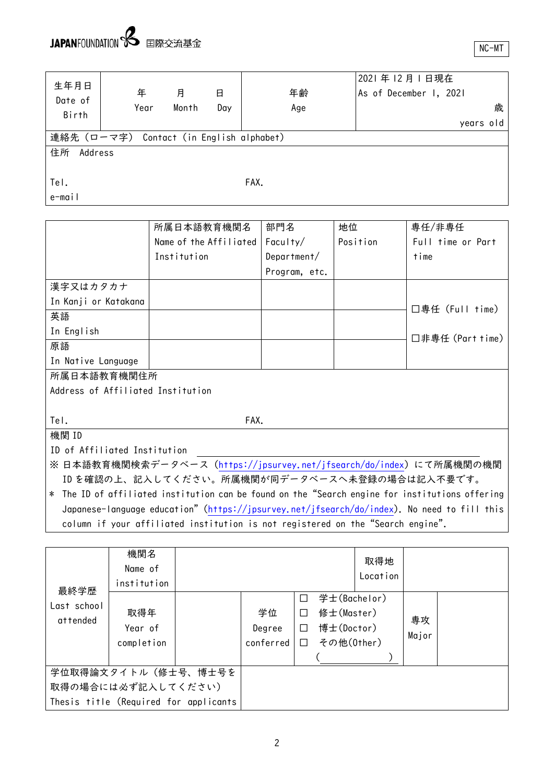e-mail

| 生年月日<br>Date of | 年                                      | 月     | 日   | 年齢   | 2021年12月1日現在<br>As of December 1, 2021 |
|-----------------|----------------------------------------|-------|-----|------|----------------------------------------|
| Birth           | Year                                   | Month | Day | Age  | 歳                                      |
|                 |                                        |       |     |      | years old                              |
|                 | 連絡先(ローマ字) Contact(in English alphabet) |       |     |      |                                        |
| 住所<br>Address   |                                        |       |     |      |                                        |
|                 |                                        |       |     |      |                                        |
| Tel.            |                                        |       |     | FAX. |                                        |

所属日本語教育機関名 Name of the Affiliated Institution 部門名 Faculty/ Department/ Program, etc. 地位 Position 専任/非専任 Full time or Part time 漢字又はカタカナ In Kanji or Katakana □専任(Full time) □非専任(Part time) 英語 In English 原語 In Native Language 所属日本語教育機関住所 Address of Affiliated Institution Tel. FAX. 機関 ID ID of Affiliated Institution

※ 日本語教育機関検索データベース(<https://jpsurvey.net/jfsearch/do/index>)にて所属機関の機関 ID を確認の上、記入してください。所属機関が同データベースへ未登録の場合は記入不要です。

\* The ID of affiliated institution can be found on the"Search engine for institutions offering Japanese-language education" [\(https://jpsurvey.net/jfsearch/do/index\)](https://jpsurvey.net/jfsearch/do/index). No need to fill this column if your affiliated institution is not registered on the"Search engine".

| 最終学歴                                                                               | 機関名<br>Name of<br>institution |  |                           |                                 |                                                        | 取得地<br>Location |             |  |
|------------------------------------------------------------------------------------|-------------------------------|--|---------------------------|---------------------------------|--------------------------------------------------------|-----------------|-------------|--|
| Last school<br>attended                                                            | 取得年<br>Year of<br>completion  |  | 学位<br>Degree<br>conferred | $\Box$<br>П<br>$\Box$<br>$\Box$ | 学士(Bachelor)<br>修士(Master)<br>博士(Doctor)<br>その他(Other) |                 | 専攻<br>Major |  |
| 学位取得論文タイトル(修士号、博士号を<br>取得の場合には必ず記入してください)<br>Thesis title (Required for applicants |                               |  |                           |                                 |                                                        |                 |             |  |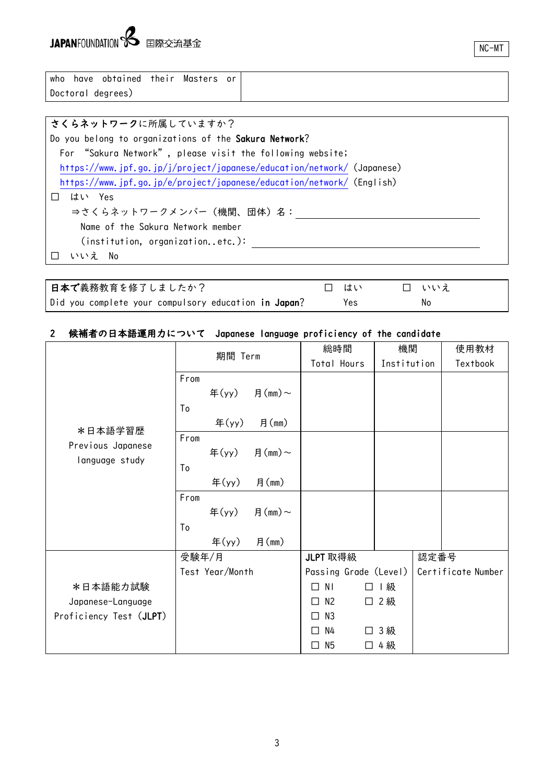NC-MT

| who               | have obtained their Masters or |  |  |
|-------------------|--------------------------------|--|--|
| Doctoral degrees) |                                |  |  |

### さくらネットワークに所属していますか? Do you belong to organizations of the Sakura Network? For "Sakura Network", please visit the following website; <https://www.jpf.go.jp/j/project/japanese/education/network/> (Japanese) <https://www.jpf.go.jp/e/project/japanese/education/network/> (English) □ はい Yes ⇒さくらネットワークメンバー(機関、団体)名: Name of the Sakura Network member (institution, organization..etc.): □ いいえ No

| 日本で義務教育を修了しましたか?                                     | 口 はい | □ いいぇ |  |
|------------------------------------------------------|------|-------|--|
| Did you complete your compulsory education in Japan? | Yes  | No    |  |

### 2 候補者の日本語運用力について Japanese language proficiency of the candidate

|                         | 期間 Term |                 |              |                     | 総時間                   | 機関          |      | 使用教材               |
|-------------------------|---------|-----------------|--------------|---------------------|-----------------------|-------------|------|--------------------|
|                         |         |                 |              |                     | Total Hours           | Institution |      | Textbook           |
|                         | From    |                 |              |                     |                       |             |      |                    |
|                         |         |                 | 年(yy) 月(mm)~ |                     |                       |             |      |                    |
|                         | To      |                 |              |                     |                       |             |      |                    |
| *日本語学習歴                 |         | 年 $(yy)$        | 月(mm)        |                     |                       |             |      |                    |
| Previous Japanese       | From    |                 |              |                     |                       |             |      |                    |
| language study          |         |                 | 年(yy) 月(mm)~ |                     |                       |             |      |                    |
|                         | To      |                 |              |                     |                       |             |      |                    |
|                         |         | 年 $(yy)$        | 月(mm)        |                     |                       |             |      |                    |
|                         | From    |                 |              |                     |                       |             |      |                    |
|                         |         |                 | 年(yy) 月(mm)~ |                     |                       |             |      |                    |
|                         | To      |                 |              |                     |                       |             |      |                    |
|                         |         | $\text{4}(y)$   | 月(mm)        |                     |                       |             |      |                    |
|                         | 受験年/月   |                 |              | JLPT 取得級            |                       |             | 認定番号 |                    |
|                         |         | Test Year/Month |              |                     | Passing Grade (Level) |             |      | Certificate Number |
| *日本語能力試験                |         |                 |              | ΝI<br>П             | $\perp$               | 級           |      |                    |
| Japanese-Language       |         |                 |              | N <sub>2</sub><br>П | $\Box$                | 2級          |      |                    |
| Proficiency Test (JLPT) |         |                 |              | N3<br>П             |                       |             |      |                    |
|                         |         |                 |              | N4<br>п             |                       | 3 級         |      |                    |
|                         |         |                 |              | N <sub>5</sub><br>П | ⊔                     | 4 級         |      |                    |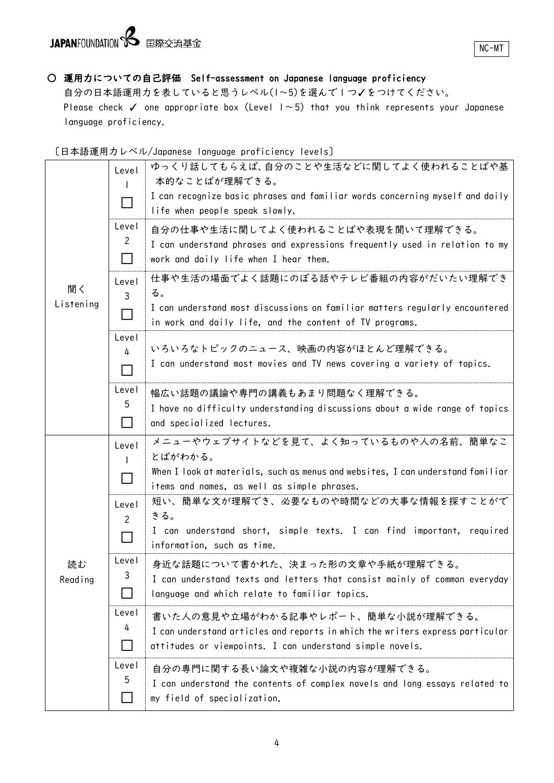# JAPANFOUNDATION 8 国際交流基金

NC-MT

## ○ 運用力についての自己評価 Self-assessment on Japanese language proficiency

自分の日本語運用力を表していると思うレベル(1~5)を選んで 1 つ✓をつけてください。 Please check  $\checkmark$  one appropriate box (Level  $1 \sim 5$ ) that you think represents your Japanese language proficiency.

### 〔日本語運用力レベル/Japanese language proficiency levels〕

|           | Level          | ゆっくり話してもらえば、自分のことや生活などに関してよく使われることばや基<br>本的なことばが理解できる。                                                                                    |
|-----------|----------------|-------------------------------------------------------------------------------------------------------------------------------------------|
|           |                | I can recognize basic phrases and familiar words concerning myself and daily<br>life when people speak slowly.                            |
|           | Level<br>2     | 自分の仕事や生活に関してよく使われることばや表現を聞いて理解できる。                                                                                                        |
|           |                | I can understand phrases and expressions frequently used in relation to my<br>work and daily life when I hear them.                       |
| 聞く        | Level<br>3     | 仕事や生活の場面でよく話題にのぼる話やテレビ番組の内容がだいたい理解でき<br>る。                                                                                                |
| Listening |                | I can understand most discussions on familiar matters regularly encountered<br>in work and daily life, and the content of TV programs.    |
|           | Level<br>4     | いろいろなトピックのニュース、映画の内容がほとんど理解できる。                                                                                                           |
|           |                | I can understand most movies and TV news covering a variety of topics.                                                                    |
|           | Level          | 幅広い話題の議論や専門の講義もあまり問題なく理解できる。                                                                                                              |
|           | 5              | I have no difficulty understanding discussions about a wide range of topics<br>and specialized lectures.                                  |
|           | Level          | メニューやウェブサイトなどを見て、よく知っているものや人の名前、簡単なこ                                                                                                      |
|           |                | とばがわかる。                                                                                                                                   |
|           |                | When I look at materials, such as menus and websites, I can understand familiar<br>items and names, as well as simple phrases.            |
|           | Level          | 短い、簡単な文が理解でき、必要なものや時間などの大事な情報を探すことがで<br>きる。                                                                                               |
|           | $\overline{2}$ | I can understand short, simple texts. I can find important, required<br>information, such as time.                                        |
| 読む        | Level          | 身近な話題について書かれた、決まった形の文章や手紙が理解できる。                                                                                                          |
| Reading   | 3              | I can understand texts and letters that consist mainly of common everyday<br>language and which relate to familiar topics.                |
|           | Level          | 書いた人の意見や立場がわかる記事やレポート、簡単な小説が理解できる。                                                                                                        |
|           | 4              | I can understand articles and reports in which the writers express particular<br>attitudes or viewpoints. I can understand simple novels. |
|           | Level          | 自分の専門に関する長い論文や複雑な小説の内容が理解できる。                                                                                                             |
|           | 5              | I can understand the contents of complex novels and long essays related to<br>my field of specialization.                                 |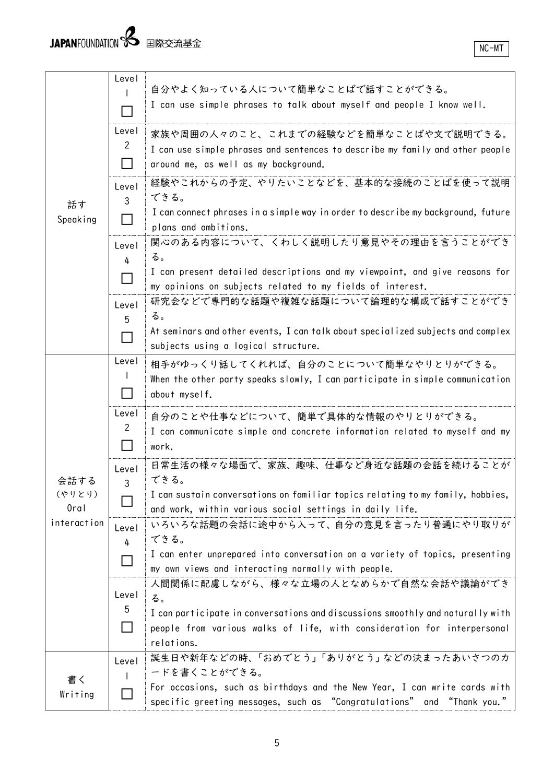| 話す<br>Speaking                                   | Level<br>Level | 自分やよく知っている人について簡単なことばで話すことができる。<br>I can use simple phrases to talk about myself and people I know well.                                                                                                              |
|--------------------------------------------------|----------------|-----------------------------------------------------------------------------------------------------------------------------------------------------------------------------------------------------------------------|
|                                                  | $\mathbf{2}$   | 家族や周囲の人々のこと、これまでの経験などを簡単なことばや文で説明できる。<br>I can use simple phrases and sentences to describe my family and other people<br>around me, as well as my background.                                                        |
|                                                  | Level<br>3     | 経験やこれからの予定、やりたいことなどを、基本的な接続のことばを使って説明<br>できる。<br>I can connect phrases in a simple way in order to describe my background, future<br>plans and ambitions.                                                             |
|                                                  | Level<br>4     | 関心のある内容について、くわしく説明したり意見やその理由を言うことができ<br>る。<br>I can present detailed descriptions and my viewpoint, and give reasons for<br>my opinions on subjects related to my fields of interest.                                 |
|                                                  | Level<br>5     | 研究会などで専門的な話題や複雑な話題について論理的な構成で話すことができ<br>る。<br>At seminars and other events, I can talk about specialized subjects and complex<br>subjects using a logical structure.                                                  |
| 会話する<br>(やりとり)<br>0 <sub>rd</sub><br>interaction | Level          | 相手がゆっくり話してくれれば、自分のことについて簡単なやりとりができる。<br>When the other party speaks slowly, I can participate in simple communication<br>about myself.                                                                                |
|                                                  | Level<br>2     | 自分のことや仕事などについて、簡単で具体的な情報のやりとりができる。<br>I can communicate simple and concrete information related to myself and my<br>work.                                                                                             |
|                                                  | Level<br>3     | 日常生活の様々な場面で、家族、趣味、仕事など身近な話題の会話を続けることが<br>できる。<br>I can sustain conversations on familiar topics relating to my family, hobbies,<br>and work, within various social settings in daily life.                            |
|                                                  | Level<br>4     | いろいろな話題の会話に途中から入って、自分の意見を言ったり普通にやり取りが<br>できる。<br>I can enter unprepared into conversation on a variety of topics, presenting<br>my own views and interacting normally with people.                                    |
|                                                  | Level<br>5     | 人間関係に配慮しながら、様々な立場の人となめらかで自然な会話や議論ができ<br>る。<br>I can participate in conversations and discussions smoothly and naturally with<br>people from various walks of life, with consideration for interpersonal<br>relations. |
| 書く<br>Writing                                    | Level          | 誕生日や新年などの時、「おめでとう」「ありがとう」などの決まったあいさつのカ<br>ードを書くことができる。<br>For occasions, such as birthdays and the New Year, I can write cards with<br>specific greeting messages, such as "Congratulations" and "Thank you."         |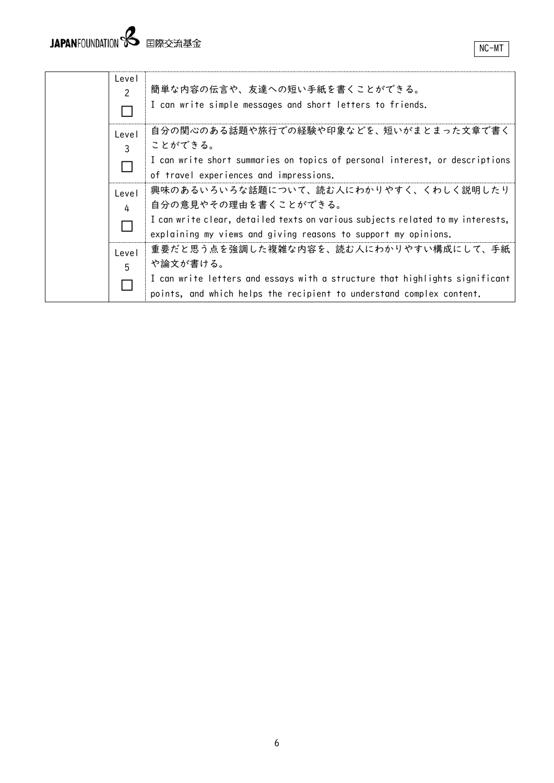| Level<br>$\mathcal{P}$ | 簡単な内容の伝言や、友達への短い手紙を書くことができる。<br>I can write simple messages and short letters to friends.                                                                                                                         |
|------------------------|-------------------------------------------------------------------------------------------------------------------------------------------------------------------------------------------------------------------|
| Level<br>3             | 自分の関心のある話題や旅行での経験や印象などを、短いがまとまった文章で書く<br>ことができる。<br>I can write short summaries on topics of personal interest, or descriptions<br>of travel experiences and impressions.                                         |
| Level<br>4             | 興味のあるいろいろな話題について、読む人にわかりやすく、くわしく説明したり<br>自分の意見やその理由を書くことができる。<br>I can write clear, detailed texts on various subjects related to my interests,<br>explaining my views and giving reasons to support my opinions. |
| Level<br>5             | 重要だと思う点を強調した複雑な内容を、読む人にわかりやすい構成にして、手紙<br>や論文が書ける。<br>I can write letters and essays with a structure that highlights significant<br>points, and which helps the recipient to understand complex content.          |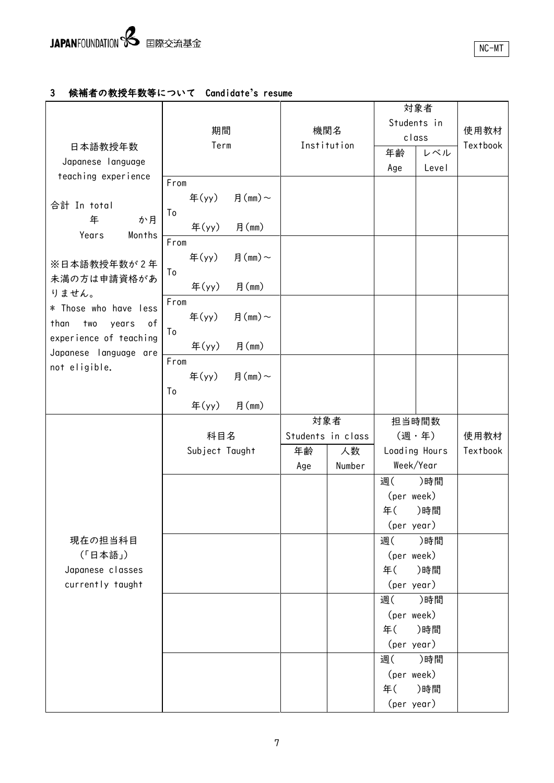### 3 候補者の教授年数等について Candidate**'**s resume

|                            |                                      |               |                    |        |                  | 対象者           |                 |
|----------------------------|--------------------------------------|---------------|--------------------|--------|------------------|---------------|-----------------|
|                            |                                      |               | 機関名<br>Institution |        | Students in      |               | 使用教材            |
|                            | 期間                                   |               |                    |        | class            |               |                 |
| 日本語教授年数                    | Term                                 |               |                    |        | 年齢               | レベル           | <b>Textbook</b> |
| Japanese language          |                                      |               |                    |        | Age              | Level         |                 |
| teaching experience        | From                                 |               |                    |        |                  |               |                 |
| 合計 In total                | $\text{4}(y)$                        | 月 $(mm)$ ~    |                    |        |                  |               |                 |
| 年<br>か月                    | To                                   |               |                    |        |                  |               |                 |
| Years<br>Months            | 年 $(yy)$                             | 月(mm)         |                    |        |                  |               |                 |
|                            | From                                 |               |                    |        |                  |               |                 |
| ※日本語教授年数が2年                | 年 $(yy)$                             | 月 $(mm)$ ~    |                    |        |                  |               |                 |
| 未満の方は申請資格があ                | To                                   |               |                    |        |                  |               |                 |
| りません。                      | $\mathfrak{F}(\mathsf{yy})$          | 月(mm)         |                    |        |                  |               |                 |
| * Those who have less      | From                                 |               |                    |        |                  |               |                 |
| than<br>оf<br>two<br>years | $\text{4}(y)$                        | 月 $(mm) \sim$ |                    |        |                  |               |                 |
| experience of teaching     | To                                   |               |                    |        |                  |               |                 |
| Japanese language are      | 年 $(yy)$                             | 月(mm)         |                    |        |                  |               |                 |
| not eligible.              | From                                 |               |                    |        |                  |               |                 |
|                            | $\mathfrak{F}(\mathsf{y}\mathsf{y})$ | 月 $(mm) \sim$ |                    |        |                  |               |                 |
|                            | To                                   |               |                    |        |                  |               |                 |
|                            | $\mathfrak{F}(\mathsf{yy})$          | 月(mm)         |                    |        |                  |               |                 |
|                            |                                      |               |                    | 対象者    |                  | 担当時間数         |                 |
|                            | 科目名                                  |               | Students in class  |        |                  | (週·年)         | 使用教材            |
|                            | Subject Taught                       |               | 年齢                 | 人数     |                  | Loading Hours | Textbook        |
|                            |                                      |               | Age                | Number |                  | Week/Year     |                 |
|                            |                                      |               |                    |        | 週(               | )時間           |                 |
|                            |                                      |               |                    |        | (per week)       |               |                 |
|                            |                                      |               |                    |        | 年(               | )時間           |                 |
| 現在の担当科目                    |                                      |               |                    |        | (per year)<br>週( | )時間           |                 |
| (「日本語」)                    |                                      |               |                    |        | (per week)       |               |                 |
| Japanese classes           |                                      |               |                    |        | 年()時間            |               |                 |
| currently taught           |                                      |               |                    |        | (per year)       |               |                 |
|                            |                                      |               |                    |        | 週(               | )時間           |                 |
|                            |                                      |               |                    |        | (per week)       |               |                 |
|                            |                                      |               |                    |        | 年()時間            |               |                 |
|                            |                                      |               |                    |        | (per year)       |               |                 |
|                            |                                      |               |                    |        | 週(               | )時間           |                 |
|                            |                                      |               |                    |        | (per week)       |               |                 |
|                            |                                      |               |                    |        | 年()時間            |               |                 |
|                            |                                      |               |                    |        | (per year)       |               |                 |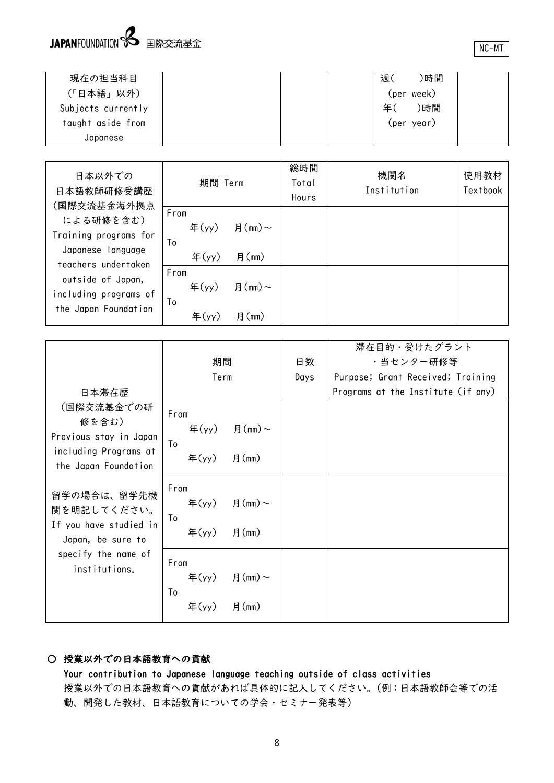

NC-MT

| 現在の担当科目            |  | 週  | )時間        |  |
|--------------------|--|----|------------|--|
| (「日本語」以外)          |  |    | (per week) |  |
| Subjects currently |  | 年( | )時間        |  |
| taught aside from  |  |    | (per year) |  |
| Japanese           |  |    |            |  |

| 日本以外での<br>日本語教師研修受講歴<br>(国際交流基金海外拠点                                            | 期間 Term                                                      |                           | 総時間<br>Total<br>Hours | 機関名<br>Institution | 使用教材<br><b>Textbook</b> |
|--------------------------------------------------------------------------------|--------------------------------------------------------------|---------------------------|-----------------------|--------------------|-------------------------|
| による研修を含む)<br>Training programs for<br>Japanese language<br>teachers undertaken | From<br>年 $(yy)$<br>To<br>年 $(yy)$                           | 月 $(mm) \sim$<br>月(mm)    |                       |                    |                         |
| outside of Japan,<br>including programs of<br>the Japan Foundation             | From<br>年 $(yy)$<br>To<br>$\mathbf{F}(\mathsf{y}\mathsf{y})$ | 月 $(mm) \sim$<br>月 $(mm)$ |                       |                    |                         |

|                                                                                                |                                                                                          |      | 滞在目的・受けたグラント                       |
|------------------------------------------------------------------------------------------------|------------------------------------------------------------------------------------------|------|------------------------------------|
|                                                                                                | 期間                                                                                       | 日数   | ・当センター研修等                          |
|                                                                                                | Term                                                                                     | Days | Purpose; Grant Received; Training  |
| 日本滞在歴                                                                                          |                                                                                          |      | Programs at the Institute (if any) |
| (国際交流基金での研<br>修を含む)<br>Previous stay in Japan<br>including Programs at<br>the Japan Foundation | From<br>年(yy) 月(mm)~<br>To<br>月(mm)<br>年 $(yy)$                                          |      |                                    |
| 留学の場合は、留学先機<br>関を明記してください。<br>If you have studied in<br>Japan, be sure to                      | From<br>年(yy) 月(mm)~<br>To<br>月(mm)<br>年 $(yy)$                                          |      |                                    |
| specify the name of<br>institutions.                                                           | From<br>年(yy) 月(mm)~<br>To<br>$\mathbf{\hat{\mathrm{F}}}(\mathsf{y}\mathsf{y})$<br>月(mm) |      |                                    |

### ○ 授業以外での日本語教育への貢献

Your contribution to Japanese language teaching outside of class activities 授業以外での日本語教育への貢献があれば具体的に記入してください。(例:日本語教師会等での活 動、開発した教材、日本語教育についての学会・セミナー発表等)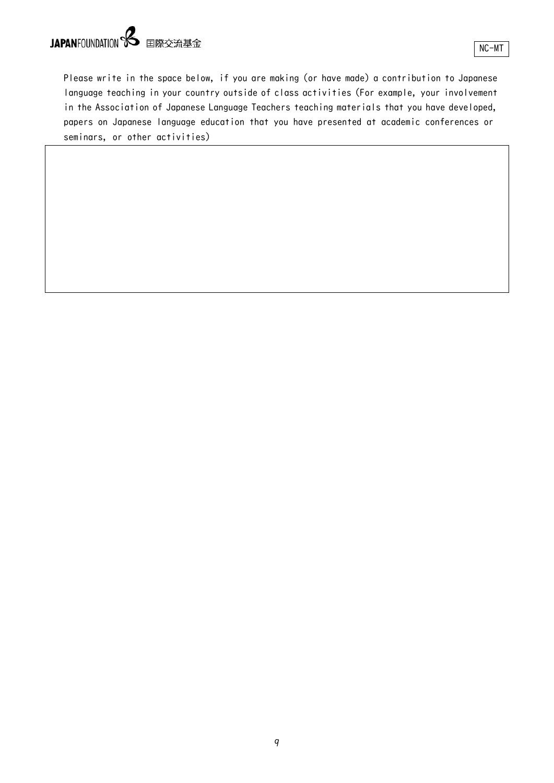# JAPANFOUNDATION **S** 国際交流基金

Please write in the space below, if you are making (or have made) a contribution to Japanese language teaching in your country outside of class activities (For example, your involvement in the Association of Japanese Language Teachers teaching materials that you have developed, papers on Japanese language education that you have presented at academic conferences or seminars, or other activities)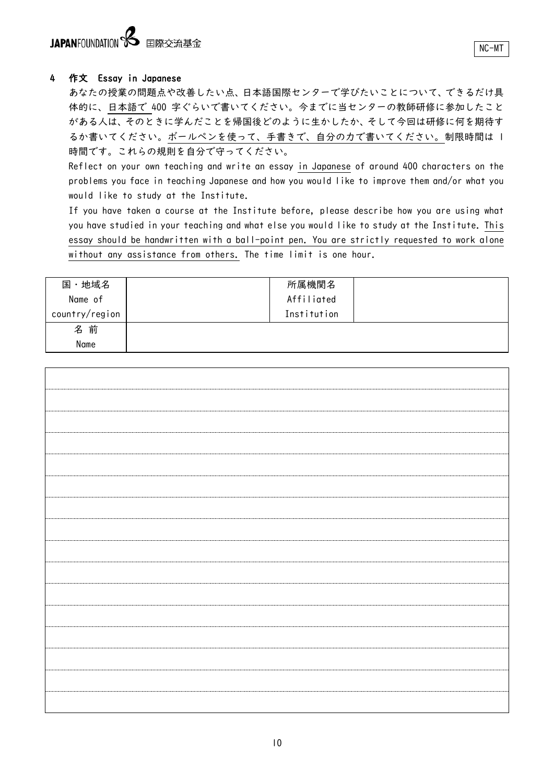# JAPANFOUNDATION **8** 国際交流基金

### 4 作文 Essay in Japanese

あなたの授業の問題点や改善したい点、日本語国際センターで学びたいことについて、できるだけ具 体的に、日本語で 400 字ぐらいで書いてください。今までに当センターの教師研修に参加したこと がある人は、そのときに学んだことを帰国後どのように生かしたか、そして今回は研修に何を期待す るか書いてください。ボールペンを使って、手書きで、自分の力で書いてください。制限時間は 1 時間です。これらの規則を自分で守ってください。

Reflect on your own teaching and write an essay in Japanese of around 400 characters on the problems you face in teaching Japanese and how you would like to improve them and/or what you would like to study at the Institute.

If you have taken a course at the Institute before, please describe how you are using what you have studied in your teaching and what else you would like to study at the Institute. This essay should be handwritten with a ball-point pen. You are strictly requested to work alone without any assistance from others. The time limit is one hour.

| ・地域名<br>国      | 所属機関名       |  |
|----------------|-------------|--|
| Name of        | Affiliated  |  |
| country/region | Institution |  |
| 名前             |             |  |
| Name           |             |  |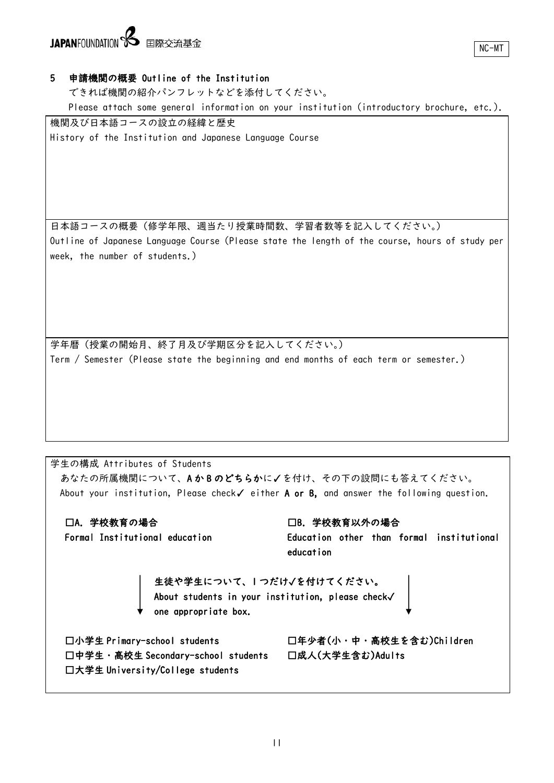# JAPANFOUNDATION **S** 国際交流基金

### 5 申請機関の概要 Outline of the Institution

できれば機関の紹介パンフレットなどを添付してください。

Please attach some general information on your institution (introductory brochure, etc.).

機関及び日本語コースの設立の経緯と歴史 History of the Institution and Japanese Language Course

日本語コースの概要(修学年限、週当たり授業時間数、学習者数等を記入してください。) Outline of Japanese Language Course (Please state the length of the course, hours of study per week, the number of students.)

学年暦(授業の開始月、終了月及び学期区分を記入してください。) Term / Semester (Please state the beginning and end months of each term or semester.)

学生の構成 Attributes of Students あなたの所属機関について、A か B のどちらかに✓を付け、その下の設問にも答えてください。 About your institution, Please check✓ either A or B, and answer the following question. □A.学校教育の場合 Formal Institutional education □B.学校教育以外の場合 Education other than formal institutional education 生徒や学生について、1 つだけ✓を付けてください。 About students in your institution, please check✓ one appropriate box. □小学生 Primary-school students □年少者(小・中・高校生を含む)Children □中学生・高校生 Secondary-school students □成人(大学生含む)Adults □大学生 University/College students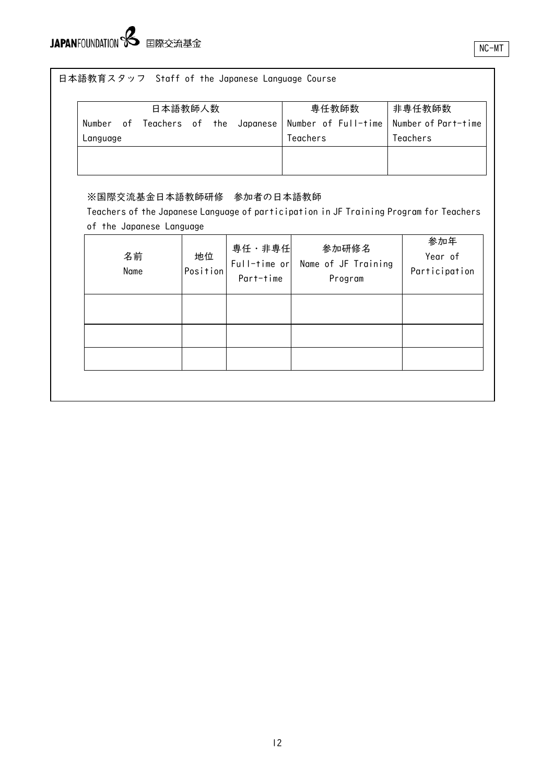# JAPANFOUNDATION Supersequent

|                                                      | 日本語教師人数        |                           | 専任教師数                                                                                           | 非専任教師数                          |
|------------------------------------------------------|----------------|---------------------------|-------------------------------------------------------------------------------------------------|---------------------------------|
| Number<br>of Teachers of the<br>Language             |                | Japanese                  | Number of Full-time<br>Teachers                                                                 | Number of Part-time<br>Teachers |
| ※国際交流基金日本語教師研修 参加者の日本語教師<br>of the Japanese Language |                | 専任・非専任                    | Teachers of the Japanese Language of participation in JF Training Program for Teachers<br>参加研修名 | 参加年                             |
| 名前<br>Name                                           | 地位<br>Position | Full-time or<br>Part-time | Name of JF Training<br>Program                                                                  | Year of<br>Participation        |
|                                                      |                |                           |                                                                                                 |                                 |
|                                                      |                |                           |                                                                                                 |                                 |
|                                                      |                |                           |                                                                                                 |                                 |